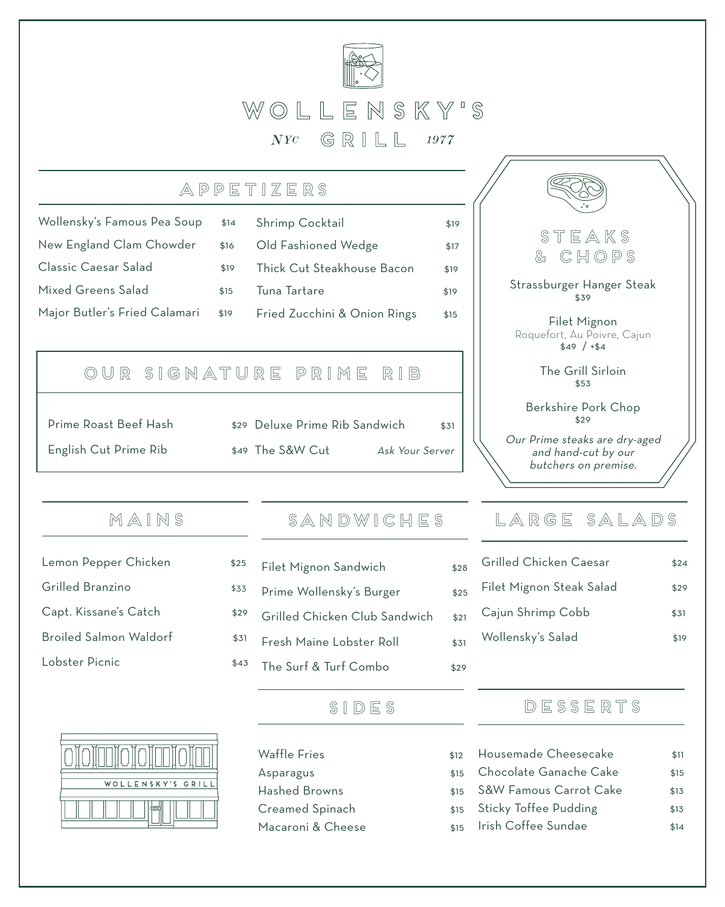

## APPetizers

| Wollensky's Famous Pea Soup   | \$14 | Shrimp Cocktail              | \$19 |
|-------------------------------|------|------------------------------|------|
| New England Clam Chowder      | \$16 | Old Fashioned Wedge          | \$17 |
| Classic Caesar Salad          | \$19 | Thick Cut Steakhouse Bacon   | \$19 |
| Mixed Greens Salad            | \$15 | Tuna Tartare                 | \$19 |
| Major Butler's Fried Calamari | \$19 | Fried Zucchini & Onion Rings | \$15 |

# Our SIGnature prime rib

| Prime Roast Beef Hash | \$29 |
|-----------------------|------|
| English Cut Prime Rib | \$49 |

| \$29 Deluxe Prime Rib Sandwich |                 | \$31 |
|--------------------------------|-----------------|------|
| \$49 The S&W Cut               | Ask Your Server |      |

## MAINS

- Lemon Pepper Chicken \$25
- Grilled Branzino  $$33$
- Capt. Kissane's Catch  $$29$
- Broiled Salmon Waldorf  $$31$
- Lobster Picnic  $$43$



## SANDWICHES

Filet Mignon Sandwich \$28 Prime Wollensky's Burger \$25 Grilled Chicken Club Sandwich \$21 Fresh Maine Lobster Roll \$31 The Surf & Turf Combo \$29

## sides

Waffle Fries \$12 Asparagus \$15 Hashed Browns **\$15** Creamed Spinach  $\qquad$ \$15 Macaroni & Cheese  $\qquad \qquad$ \$15



Strassburger Hanger Steak \$39

Filet Mignon Roquefort, Au Poivre, Cajun \$49 / +\$4

> The Grill Sirloin \$53

Berkshire Pork Chop \$29

Our Prime steaks are dry-aged and hand-cut by our butchers on premise.

# LARGE SALADS

| Grilled Chicken Caesar   | \$24 |
|--------------------------|------|
| Filet Mignon Steak Salad | \$29 |
| Cajun Shrimp Cobb        | \$31 |
| Wollensky's Salad        | \$19 |
|                          |      |

## **DESSERTS**

| $\overline{ }$           | Housemade Cheesecake         | \$11 |
|--------------------------|------------------------------|------|
| 5.                       | Chocolate Ganache Cake       | \$15 |
| $\overline{a}$           | S&W Famous Carrot Cake       | \$13 |
| 5                        | <b>Sticky Toffee Pudding</b> | \$13 |
| $\overline{\phantom{0}}$ | Irish Coffee Sundae          | \$14 |
|                          |                              |      |